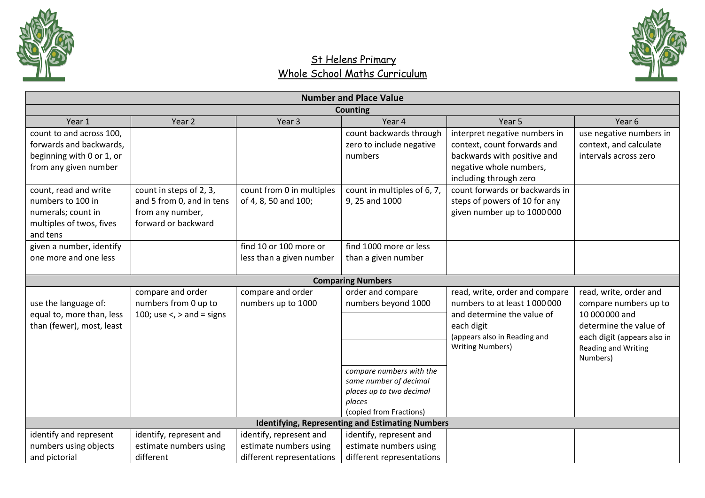



|                           | <b>Number and Place Value</b>    |                           |                                                         |                                |                             |  |  |
|---------------------------|----------------------------------|---------------------------|---------------------------------------------------------|--------------------------------|-----------------------------|--|--|
|                           | <b>Counting</b>                  |                           |                                                         |                                |                             |  |  |
| Year 1                    | Year 2                           | Year 3                    | Year 4                                                  | Year 5                         | Year 6                      |  |  |
| count to and across 100,  |                                  |                           | count backwards through                                 | interpret negative numbers in  | use negative numbers in     |  |  |
| forwards and backwards,   |                                  |                           | zero to include negative                                | context, count forwards and    | context, and calculate      |  |  |
| beginning with 0 or 1, or |                                  |                           | numbers                                                 | backwards with positive and    | intervals across zero       |  |  |
| from any given number     |                                  |                           |                                                         | negative whole numbers,        |                             |  |  |
|                           |                                  |                           |                                                         | including through zero         |                             |  |  |
| count, read and write     | count in steps of 2, 3,          | count from 0 in multiples | count in multiples of 6, 7,                             | count forwards or backwards in |                             |  |  |
| numbers to 100 in         | and 5 from 0, and in tens        | of 4, 8, 50 and 100;      | 9, 25 and 1000                                          | steps of powers of 10 for any  |                             |  |  |
| numerals; count in        | from any number,                 |                           |                                                         | given number up to 1000000     |                             |  |  |
| multiples of twos, fives  | forward or backward              |                           |                                                         |                                |                             |  |  |
| and tens                  |                                  |                           |                                                         |                                |                             |  |  |
| given a number, identify  |                                  | find 10 or 100 more or    | find 1000 more or less                                  |                                |                             |  |  |
| one more and one less     |                                  | less than a given number  | than a given number                                     |                                |                             |  |  |
|                           |                                  |                           | <b>Comparing Numbers</b>                                |                                |                             |  |  |
|                           | compare and order                | compare and order         | order and compare                                       | read, write, order and compare | read, write, order and      |  |  |
| use the language of:      | numbers from 0 up to             | numbers up to 1000        | numbers beyond 1000                                     | numbers to at least 1000000    | compare numbers up to       |  |  |
| equal to, more than, less | 100; use $\lt$ , $>$ and = signs |                           |                                                         | and determine the value of     | 10 000 000 and              |  |  |
| than (fewer), most, least |                                  |                           |                                                         | each digit                     | determine the value of      |  |  |
|                           |                                  |                           |                                                         | (appears also in Reading and   | each digit (appears also in |  |  |
|                           |                                  |                           |                                                         | <b>Writing Numbers)</b>        | Reading and Writing         |  |  |
|                           |                                  |                           |                                                         |                                | Numbers)                    |  |  |
|                           |                                  |                           | compare numbers with the                                |                                |                             |  |  |
|                           |                                  |                           | same number of decimal                                  |                                |                             |  |  |
|                           |                                  |                           | places up to two decimal                                |                                |                             |  |  |
|                           |                                  |                           | places                                                  |                                |                             |  |  |
|                           |                                  |                           | (copied from Fractions)                                 |                                |                             |  |  |
|                           |                                  |                           | <b>Identifying, Representing and Estimating Numbers</b> |                                |                             |  |  |
| identify and represent    | identify, represent and          | identify, represent and   | identify, represent and                                 |                                |                             |  |  |
| numbers using objects     | estimate numbers using           | estimate numbers using    | estimate numbers using                                  |                                |                             |  |  |
| and pictorial             | different                        | different representations | different representations                               |                                |                             |  |  |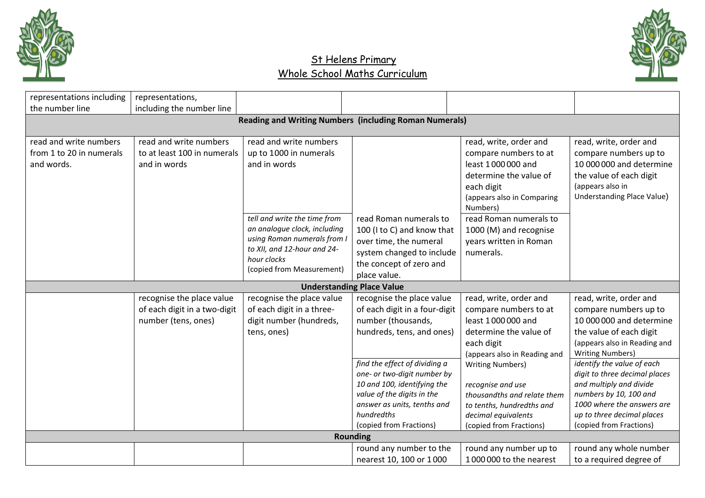



| representations including | representations,                                              |                                                            |                                                              |                              |                                                             |  |  |  |  |  |
|---------------------------|---------------------------------------------------------------|------------------------------------------------------------|--------------------------------------------------------------|------------------------------|-------------------------------------------------------------|--|--|--|--|--|
| the number line           | including the number line                                     |                                                            |                                                              |                              |                                                             |  |  |  |  |  |
|                           |                                                               |                                                            |                                                              |                              |                                                             |  |  |  |  |  |
|                           | <b>Reading and Writing Numbers (including Roman Numerals)</b> |                                                            |                                                              |                              |                                                             |  |  |  |  |  |
| read and write numbers    | read and write numbers                                        | read and write numbers                                     |                                                              | read, write, order and       | read, write, order and                                      |  |  |  |  |  |
| from 1 to 20 in numerals  | to at least 100 in numerals                                   | up to 1000 in numerals                                     |                                                              | compare numbers to at        | compare numbers up to                                       |  |  |  |  |  |
| and words.                | and in words                                                  | and in words                                               |                                                              | least 1000000 and            | 10 000 000 and determine                                    |  |  |  |  |  |
|                           |                                                               |                                                            |                                                              | determine the value of       | the value of each digit                                     |  |  |  |  |  |
|                           |                                                               |                                                            |                                                              | each digit                   | (appears also in                                            |  |  |  |  |  |
|                           |                                                               |                                                            |                                                              | (appears also in Comparing   | <b>Understanding Place Value)</b>                           |  |  |  |  |  |
|                           |                                                               |                                                            |                                                              | Numbers)                     |                                                             |  |  |  |  |  |
|                           |                                                               | tell and write the time from                               | read Roman numerals to                                       | read Roman numerals to       |                                                             |  |  |  |  |  |
|                           |                                                               | an analogue clock, including                               | 100 (I to C) and know that                                   | 1000 (M) and recognise       |                                                             |  |  |  |  |  |
|                           |                                                               | using Roman numerals from I<br>to XII, and 12-hour and 24- | over time, the numeral                                       | years written in Roman       |                                                             |  |  |  |  |  |
|                           |                                                               | hour clocks                                                | system changed to include                                    | numerals.                    |                                                             |  |  |  |  |  |
|                           |                                                               | (copied from Measurement)                                  | the concept of zero and                                      |                              |                                                             |  |  |  |  |  |
|                           |                                                               |                                                            | place value.                                                 |                              |                                                             |  |  |  |  |  |
|                           |                                                               |                                                            | <b>Understanding Place Value</b>                             |                              |                                                             |  |  |  |  |  |
|                           | recognise the place value                                     | recognise the place value                                  | recognise the place value                                    | read, write, order and       | read, write, order and                                      |  |  |  |  |  |
|                           | of each digit in a two-digit                                  | of each digit in a three-                                  | of each digit in a four-digit                                | compare numbers to at        | compare numbers up to                                       |  |  |  |  |  |
|                           | number (tens, ones)                                           | digit number (hundreds,                                    | number (thousands,                                           | least 1000000 and            | 10 000 000 and determine                                    |  |  |  |  |  |
|                           |                                                               | tens, ones)                                                | hundreds, tens, and ones)                                    | determine the value of       | the value of each digit                                     |  |  |  |  |  |
|                           |                                                               |                                                            |                                                              | each digit                   | (appears also in Reading and                                |  |  |  |  |  |
|                           |                                                               |                                                            |                                                              | (appears also in Reading and | <b>Writing Numbers)</b>                                     |  |  |  |  |  |
|                           |                                                               |                                                            | find the effect of dividing a<br>one- or two-digit number by | <b>Writing Numbers)</b>      | identify the value of each<br>digit to three decimal places |  |  |  |  |  |
|                           |                                                               |                                                            | 10 and 100, identifying the                                  | recognise and use            | and multiply and divide                                     |  |  |  |  |  |
|                           |                                                               |                                                            | value of the digits in the                                   | thousandths and relate them  | numbers by 10, 100 and                                      |  |  |  |  |  |
|                           |                                                               |                                                            | answer as units, tenths and                                  | to tenths, hundredths and    | 1000 where the answers are                                  |  |  |  |  |  |
|                           |                                                               |                                                            | hundredths                                                   | decimal equivalents          | up to three decimal places                                  |  |  |  |  |  |
|                           |                                                               |                                                            | (copied from Fractions)                                      | (copied from Fractions)      | (copied from Fractions)                                     |  |  |  |  |  |
|                           |                                                               |                                                            | <b>Rounding</b>                                              |                              |                                                             |  |  |  |  |  |
|                           |                                                               |                                                            | round any number to the                                      | round any number up to       | round any whole number                                      |  |  |  |  |  |
|                           |                                                               |                                                            | nearest 10, 100 or 1000                                      | 1000000 to the nearest       | to a required degree of                                     |  |  |  |  |  |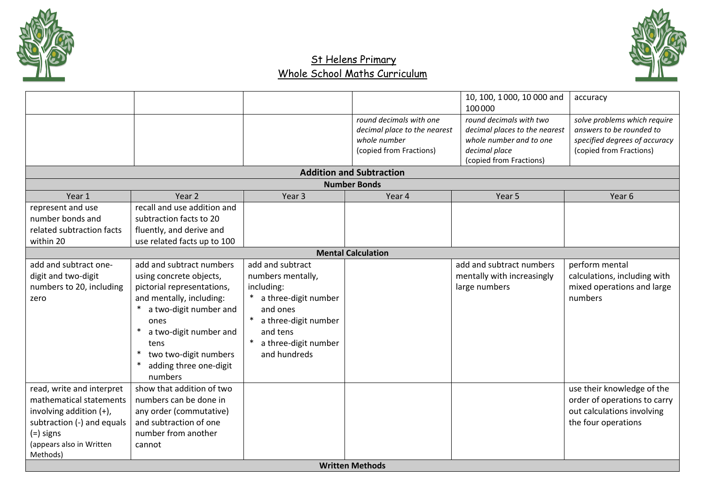



|                            |                             |                      |                                                        | 10, 100, 1000, 10 000 and     | accuracy                      |
|----------------------------|-----------------------------|----------------------|--------------------------------------------------------|-------------------------------|-------------------------------|
|                            |                             |                      |                                                        | 100000                        |                               |
|                            |                             |                      | round decimals with one                                | round decimals with two       | solve problems which require  |
|                            |                             |                      | decimal place to the nearest                           | decimal places to the nearest | answers to be rounded to      |
|                            |                             |                      | whole number                                           | whole number and to one       | specified degrees of accuracy |
|                            |                             |                      | (copied from Fractions)                                | decimal place                 | (copied from Fractions)       |
|                            |                             |                      |                                                        | (copied from Fractions)       |                               |
|                            |                             |                      | <b>Addition and Subtraction</b><br><b>Number Bonds</b> |                               |                               |
| Year 1                     | Year <sub>2</sub>           | Year <sub>3</sub>    | Year 4                                                 | Year 5                        | Year 6                        |
| represent and use          | recall and use addition and |                      |                                                        |                               |                               |
| number bonds and           | subtraction facts to 20     |                      |                                                        |                               |                               |
| related subtraction facts  | fluently, and derive and    |                      |                                                        |                               |                               |
| within 20                  | use related facts up to 100 |                      |                                                        |                               |                               |
|                            |                             |                      | <b>Mental Calculation</b>                              |                               |                               |
| add and subtract one-      | add and subtract numbers    | add and subtract     |                                                        | add and subtract numbers      | perform mental                |
| digit and two-digit        | using concrete objects,     | numbers mentally,    |                                                        | mentally with increasingly    | calculations, including with  |
| numbers to 20, including   | pictorial representations,  | including:           |                                                        | large numbers                 | mixed operations and large    |
| zero                       | and mentally, including:    | a three-digit number |                                                        |                               | numbers                       |
|                            | a two-digit number and      | and ones             |                                                        |                               |                               |
|                            | ones                        | a three-digit number |                                                        |                               |                               |
|                            | a two-digit number and      | and tens             |                                                        |                               |                               |
|                            | tens                        | a three-digit number |                                                        |                               |                               |
|                            | two two-digit numbers       | and hundreds         |                                                        |                               |                               |
|                            | adding three one-digit      |                      |                                                        |                               |                               |
|                            | numbers                     |                      |                                                        |                               |                               |
| read, write and interpret  | show that addition of two   |                      |                                                        |                               | use their knowledge of the    |
| mathematical statements    | numbers can be done in      |                      |                                                        |                               | order of operations to carry  |
| involving addition (+),    | any order (commutative)     |                      |                                                        |                               | out calculations involving    |
| subtraction (-) and equals | and subtraction of one      |                      |                                                        |                               | the four operations           |
| $(=)$ signs                | number from another         |                      |                                                        |                               |                               |
| (appears also in Written   | cannot                      |                      |                                                        |                               |                               |
| Methods)                   |                             |                      |                                                        |                               |                               |
|                            |                             |                      | <b>Written Methods</b>                                 |                               |                               |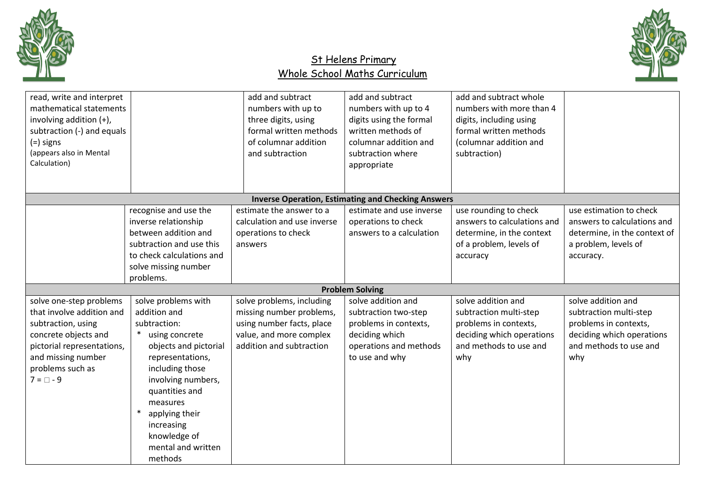



| read, write and interpret<br>mathematical statements<br>involving addition (+),<br>subtraction (-) and equals<br>$(=)$ signs<br>(appears also in Mental<br>Calculation)                      |                                                                                                                                                                                                                                                                              | add and subtract<br>numbers with up to<br>three digits, using<br>formal written methods<br>of columnar addition<br>and subtraction        | add and subtract<br>numbers with up to 4<br>digits using the formal<br>written methods of<br>columnar addition and<br>subtraction where<br>appropriate | add and subtract whole<br>numbers with more than 4<br>digits, including using<br>formal written methods<br>(columnar addition and<br>subtraction) |                                                                                                                                     |
|----------------------------------------------------------------------------------------------------------------------------------------------------------------------------------------------|------------------------------------------------------------------------------------------------------------------------------------------------------------------------------------------------------------------------------------------------------------------------------|-------------------------------------------------------------------------------------------------------------------------------------------|--------------------------------------------------------------------------------------------------------------------------------------------------------|---------------------------------------------------------------------------------------------------------------------------------------------------|-------------------------------------------------------------------------------------------------------------------------------------|
|                                                                                                                                                                                              |                                                                                                                                                                                                                                                                              |                                                                                                                                           | <b>Inverse Operation, Estimating and Checking Answers</b>                                                                                              |                                                                                                                                                   |                                                                                                                                     |
|                                                                                                                                                                                              | recognise and use the<br>inverse relationship<br>between addition and<br>subtraction and use this<br>to check calculations and<br>solve missing number<br>problems.                                                                                                          | estimate the answer to a<br>calculation and use inverse<br>operations to check<br>answers                                                 | estimate and use inverse<br>operations to check<br>answers to a calculation                                                                            | use rounding to check<br>answers to calculations and<br>determine, in the context<br>of a problem, levels of<br>accuracy                          | use estimation to check<br>answers to calculations and<br>determine, in the context of<br>a problem, levels of<br>accuracy.         |
|                                                                                                                                                                                              |                                                                                                                                                                                                                                                                              |                                                                                                                                           | <b>Problem Solving</b>                                                                                                                                 |                                                                                                                                                   |                                                                                                                                     |
| solve one-step problems<br>that involve addition and<br>subtraction, using<br>concrete objects and<br>pictorial representations,<br>and missing number<br>problems such as<br>$7 = \Box - 9$ | solve problems with<br>addition and<br>subtraction:<br>* using concrete<br>objects and pictorial<br>representations,<br>including those<br>involving numbers,<br>quantities and<br>measures<br>applying their<br>increasing<br>knowledge of<br>mental and written<br>methods | solve problems, including<br>missing number problems,<br>using number facts, place<br>value, and more complex<br>addition and subtraction | solve addition and<br>subtraction two-step<br>problems in contexts,<br>deciding which<br>operations and methods<br>to use and why                      | solve addition and<br>subtraction multi-step<br>problems in contexts,<br>deciding which operations<br>and methods to use and<br>why               | solve addition and<br>subtraction multi-step<br>problems in contexts,<br>deciding which operations<br>and methods to use and<br>why |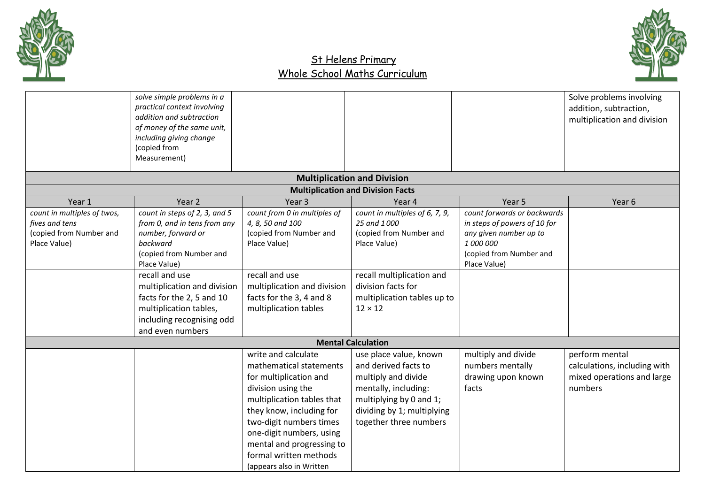



|                                                                                          | solve simple problems in a<br>practical context involving<br>addition and subtraction<br>of money of the same unit,<br>including giving change<br>(copied from<br>Measurement)                                                                                                                      |                                                                                                                                                                                                                                                                                                    |                                                                                                                                                                                              |                                                                                                                                               | Solve problems involving<br>addition, subtraction,<br>multiplication and division       |
|------------------------------------------------------------------------------------------|-----------------------------------------------------------------------------------------------------------------------------------------------------------------------------------------------------------------------------------------------------------------------------------------------------|----------------------------------------------------------------------------------------------------------------------------------------------------------------------------------------------------------------------------------------------------------------------------------------------------|----------------------------------------------------------------------------------------------------------------------------------------------------------------------------------------------|-----------------------------------------------------------------------------------------------------------------------------------------------|-----------------------------------------------------------------------------------------|
|                                                                                          |                                                                                                                                                                                                                                                                                                     |                                                                                                                                                                                                                                                                                                    | <b>Multiplication and Division</b>                                                                                                                                                           |                                                                                                                                               |                                                                                         |
|                                                                                          |                                                                                                                                                                                                                                                                                                     |                                                                                                                                                                                                                                                                                                    | <b>Multiplication and Division Facts</b>                                                                                                                                                     |                                                                                                                                               |                                                                                         |
| Year 1                                                                                   | Year 2                                                                                                                                                                                                                                                                                              | Year <sub>3</sub>                                                                                                                                                                                                                                                                                  | Year 4                                                                                                                                                                                       | Year 5                                                                                                                                        | Year 6                                                                                  |
| count in multiples of twos,<br>fives and tens<br>(copied from Number and<br>Place Value) | count in steps of 2, 3, and 5<br>from 0, and in tens from any<br>number, forward or<br>backward<br>(copied from Number and<br>Place Value)<br>recall and use<br>multiplication and division<br>facts for the 2, 5 and 10<br>multiplication tables,<br>including recognising odd<br>and even numbers | count from 0 in multiples of<br>4, 8, 50 and 100<br>(copied from Number and<br>Place Value)<br>recall and use<br>multiplication and division<br>facts for the 3, 4 and 8<br>multiplication tables                                                                                                  | count in multiples of 6, 7, 9,<br>25 and 1000<br>(copied from Number and<br>Place Value)<br>recall multiplication and<br>division facts for<br>multiplication tables up to<br>$12 \times 12$ | count forwards or backwards<br>in steps of powers of 10 for<br>any given number up to<br>1 000 000<br>(copied from Number and<br>Place Value) |                                                                                         |
|                                                                                          |                                                                                                                                                                                                                                                                                                     |                                                                                                                                                                                                                                                                                                    | <b>Mental Calculation</b>                                                                                                                                                                    |                                                                                                                                               |                                                                                         |
|                                                                                          |                                                                                                                                                                                                                                                                                                     | write and calculate<br>mathematical statements<br>for multiplication and<br>division using the<br>multiplication tables that<br>they know, including for<br>two-digit numbers times<br>one-digit numbers, using<br>mental and progressing to<br>formal written methods<br>(appears also in Written | use place value, known<br>and derived facts to<br>multiply and divide<br>mentally, including:<br>multiplying by 0 and 1;<br>dividing by 1; multiplying<br>together three numbers             | multiply and divide<br>numbers mentally<br>drawing upon known<br>facts                                                                        | perform mental<br>calculations, including with<br>mixed operations and large<br>numbers |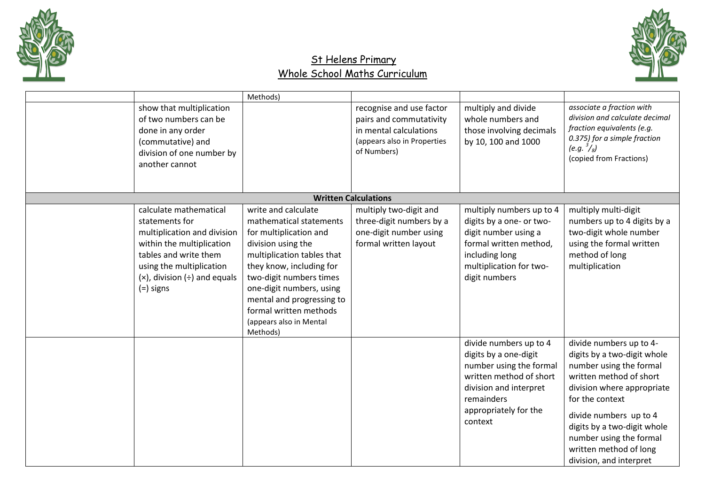



|             |                                                                                                                                                                                                   | Methods)                                                                                                                                                                                                                                                                                                      |                                                                                                                             |                                                                                                                                                                                   |                                                                                                                                                                                                                                                                                                        |
|-------------|---------------------------------------------------------------------------------------------------------------------------------------------------------------------------------------------------|---------------------------------------------------------------------------------------------------------------------------------------------------------------------------------------------------------------------------------------------------------------------------------------------------------------|-----------------------------------------------------------------------------------------------------------------------------|-----------------------------------------------------------------------------------------------------------------------------------------------------------------------------------|--------------------------------------------------------------------------------------------------------------------------------------------------------------------------------------------------------------------------------------------------------------------------------------------------------|
|             | show that multiplication<br>of two numbers can be<br>done in any order<br>(commutative) and<br>division of one number by<br>another cannot                                                        |                                                                                                                                                                                                                                                                                                               | recognise and use factor<br>pairs and commutativity<br>in mental calculations<br>(appears also in Properties<br>of Numbers) | multiply and divide<br>whole numbers and<br>those involving decimals<br>by 10, 100 and 1000                                                                                       | associate a fraction with<br>division and calculate decimal<br>fraction equivalents (e.g.<br>0.375) for a simple fraction<br>$(e.g. \frac{3}{8})$<br>(copied from Fractions)                                                                                                                           |
|             |                                                                                                                                                                                                   |                                                                                                                                                                                                                                                                                                               | <b>Written Calculations</b>                                                                                                 |                                                                                                                                                                                   |                                                                                                                                                                                                                                                                                                        |
| $(=)$ signs | calculate mathematical<br>statements for<br>multiplication and division<br>within the multiplication<br>tables and write them<br>using the multiplication<br>$(x)$ , division $(\div)$ and equals | write and calculate<br>mathematical statements<br>for multiplication and<br>division using the<br>multiplication tables that<br>they know, including for<br>two-digit numbers times<br>one-digit numbers, using<br>mental and progressing to<br>formal written methods<br>(appears also in Mental<br>Methods) | multiply two-digit and<br>three-digit numbers by a<br>one-digit number using<br>formal written layout                       | multiply numbers up to 4<br>digits by a one- or two-<br>digit number using a<br>formal written method,<br>including long<br>multiplication for two-<br>digit numbers              | multiply multi-digit<br>numbers up to 4 digits by a<br>two-digit whole number<br>using the formal written<br>method of long<br>multiplication                                                                                                                                                          |
|             |                                                                                                                                                                                                   |                                                                                                                                                                                                                                                                                                               |                                                                                                                             | divide numbers up to 4<br>digits by a one-digit<br>number using the formal<br>written method of short<br>division and interpret<br>remainders<br>appropriately for the<br>context | divide numbers up to 4-<br>digits by a two-digit whole<br>number using the formal<br>written method of short<br>division where appropriate<br>for the context<br>divide numbers up to 4<br>digits by a two-digit whole<br>number using the formal<br>written method of long<br>division, and interpret |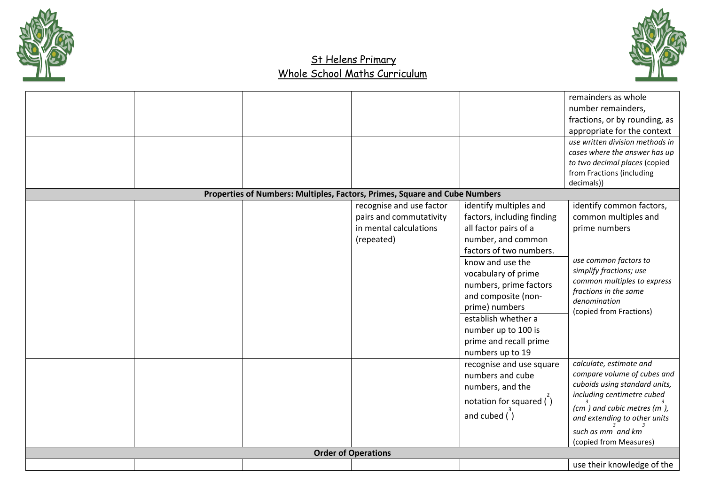



|  | Properties of Numbers: Multiples, Factors, Primes, Square and Cube Numbers |                                                                                             |                                                                                                                                                                                                                                                                                                                                          | number remainders,<br>fractions, or by rounding, as<br>appropriate for the context<br>use written division methods in<br>cases where the answer has up<br>to two decimal places (copied<br>from Fractions (including<br>decimals)) |
|--|----------------------------------------------------------------------------|---------------------------------------------------------------------------------------------|------------------------------------------------------------------------------------------------------------------------------------------------------------------------------------------------------------------------------------------------------------------------------------------------------------------------------------------|------------------------------------------------------------------------------------------------------------------------------------------------------------------------------------------------------------------------------------|
|  |                                                                            | recognise and use factor<br>pairs and commutativity<br>in mental calculations<br>(repeated) | identify multiples and<br>factors, including finding<br>all factor pairs of a<br>number, and common<br>factors of two numbers.<br>know and use the<br>vocabulary of prime<br>numbers, prime factors<br>and composite (non-<br>prime) numbers<br>establish whether a<br>number up to 100 is<br>prime and recall prime<br>numbers up to 19 | identify common factors,<br>common multiples and<br>prime numbers<br>use common factors to<br>simplify fractions; use<br>common multiples to express<br>fractions in the same<br>denomination<br>(copied from Fractions)           |
|  |                                                                            |                                                                                             | recognise and use square<br>numbers and cube<br>numbers, and the<br>notation for squared $\binom{1}{1}$<br>and cubed $\ddot{\text{)}$                                                                                                                                                                                                    | calculate, estimate and<br>compare volume of cubes and<br>cuboids using standard units,<br>including centimetre cubed<br>(cm) and cubic metres (m),<br>and extending to other units<br>such as mm and km<br>(copied from Measures) |
|  |                                                                            | <b>Order of Operations</b>                                                                  |                                                                                                                                                                                                                                                                                                                                          |                                                                                                                                                                                                                                    |
|  |                                                                            |                                                                                             |                                                                                                                                                                                                                                                                                                                                          | use their knowledge of the                                                                                                                                                                                                         |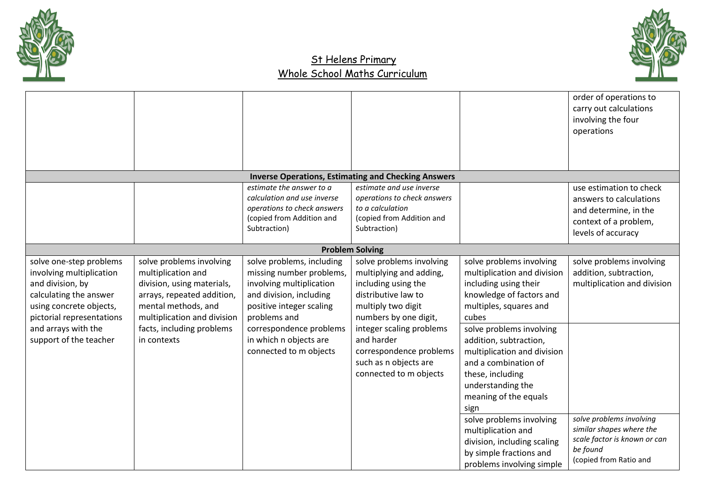



|                                                                                                                                                                                                            |                                                                                                                                                                                                              |                                                                                                                                                                                                                                         |                                                                                                                                                                                                                                                                          |                                                                                                                                                                                                                                                                                                                                | order of operations to<br>carry out calculations<br>involving the four<br>operations                                       |
|------------------------------------------------------------------------------------------------------------------------------------------------------------------------------------------------------------|--------------------------------------------------------------------------------------------------------------------------------------------------------------------------------------------------------------|-----------------------------------------------------------------------------------------------------------------------------------------------------------------------------------------------------------------------------------------|--------------------------------------------------------------------------------------------------------------------------------------------------------------------------------------------------------------------------------------------------------------------------|--------------------------------------------------------------------------------------------------------------------------------------------------------------------------------------------------------------------------------------------------------------------------------------------------------------------------------|----------------------------------------------------------------------------------------------------------------------------|
|                                                                                                                                                                                                            |                                                                                                                                                                                                              |                                                                                                                                                                                                                                         |                                                                                                                                                                                                                                                                          |                                                                                                                                                                                                                                                                                                                                |                                                                                                                            |
|                                                                                                                                                                                                            |                                                                                                                                                                                                              |                                                                                                                                                                                                                                         | <b>Inverse Operations, Estimating and Checking Answers</b>                                                                                                                                                                                                               |                                                                                                                                                                                                                                                                                                                                |                                                                                                                            |
|                                                                                                                                                                                                            |                                                                                                                                                                                                              | estimate the answer to a<br>calculation and use inverse<br>operations to check answers<br>(copied from Addition and<br>Subtraction)                                                                                                     | estimate and use inverse<br>operations to check answers<br>to a calculation<br>(copied from Addition and<br>Subtraction)                                                                                                                                                 |                                                                                                                                                                                                                                                                                                                                | use estimation to check<br>answers to calculations<br>and determine, in the<br>context of a problem,<br>levels of accuracy |
|                                                                                                                                                                                                            |                                                                                                                                                                                                              |                                                                                                                                                                                                                                         | <b>Problem Solving</b>                                                                                                                                                                                                                                                   |                                                                                                                                                                                                                                                                                                                                |                                                                                                                            |
| solve one-step problems<br>involving multiplication<br>and division, by<br>calculating the answer<br>using concrete objects,<br>pictorial representations<br>and arrays with the<br>support of the teacher | solve problems involving<br>multiplication and<br>division, using materials,<br>arrays, repeated addition,<br>mental methods, and<br>multiplication and division<br>facts, including problems<br>in contexts | solve problems, including<br>missing number problems,<br>involving multiplication<br>and division, including<br>positive integer scaling<br>problems and<br>correspondence problems<br>in which n objects are<br>connected to m objects | solve problems involving<br>multiplying and adding,<br>including using the<br>distributive law to<br>multiply two digit<br>numbers by one digit,<br>integer scaling problems<br>and harder<br>correspondence problems<br>such as n objects are<br>connected to m objects | solve problems involving<br>multiplication and division<br>including using their<br>knowledge of factors and<br>multiples, squares and<br>cubes<br>solve problems involving<br>addition, subtraction,<br>multiplication and division<br>and a combination of<br>these, including<br>understanding the<br>meaning of the equals | solve problems involving<br>addition, subtraction,<br>multiplication and division                                          |
|                                                                                                                                                                                                            |                                                                                                                                                                                                              |                                                                                                                                                                                                                                         |                                                                                                                                                                                                                                                                          | sign<br>solve problems involving<br>multiplication and<br>division, including scaling<br>by simple fractions and<br>problems involving simple                                                                                                                                                                                  | solve problems involving<br>similar shapes where the<br>scale factor is known or can<br>be found<br>(copied from Ratio and |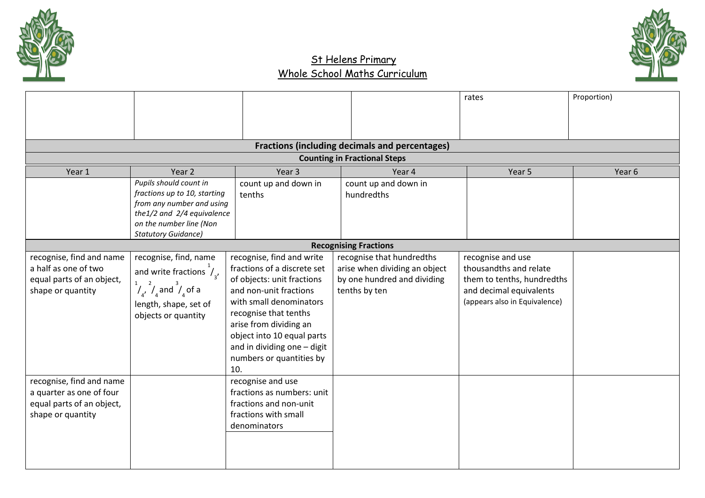



|                           |                                                          |                                                 |                                                       | rates                         | Proportion)       |
|---------------------------|----------------------------------------------------------|-------------------------------------------------|-------------------------------------------------------|-------------------------------|-------------------|
|                           |                                                          |                                                 |                                                       |                               |                   |
|                           |                                                          |                                                 |                                                       |                               |                   |
|                           |                                                          |                                                 | <b>Fractions (including decimals and percentages)</b> |                               |                   |
|                           |                                                          |                                                 | <b>Counting in Fractional Steps</b>                   |                               |                   |
| Year 1                    | Year 2                                                   | Year <sub>3</sub>                               | Year 4                                                | Year 5                        | Year <sub>6</sub> |
|                           | Pupils should count in<br>fractions up to 10, starting   | count up and down in                            | count up and down in                                  |                               |                   |
|                           | from any number and using                                | tenths                                          | hundredths                                            |                               |                   |
|                           | the1/2 and 2/4 equivalence                               |                                                 |                                                       |                               |                   |
|                           | on the number line (Non                                  |                                                 |                                                       |                               |                   |
|                           | <b>Statutory Guidance)</b>                               |                                                 |                                                       |                               |                   |
|                           |                                                          |                                                 | <b>Recognising Fractions</b>                          |                               |                   |
| recognise, find and name  | recognise, find, name                                    | recognise, find and write                       | recognise that hundredths                             | recognise and use             |                   |
| a half as one of two      | and write fractions $\frac{1}{4}$                        | fractions of a discrete set                     | arise when dividing an object                         | thousandths and relate        |                   |
| equal parts of an object, | $\int_{4'}^{1}$ , $\int_{4}^{2}$ and $\int_{4}^{3}$ of a | of objects: unit fractions                      | by one hundred and dividing                           | them to tenths, hundredths    |                   |
| shape or quantity         |                                                          | and non-unit fractions                          | tenths by ten                                         | and decimal equivalents       |                   |
|                           | length, shape, set of                                    | with small denominators                         |                                                       | (appears also in Equivalence) |                   |
|                           | objects or quantity                                      | recognise that tenths<br>arise from dividing an |                                                       |                               |                   |
|                           |                                                          | object into 10 equal parts                      |                                                       |                               |                   |
|                           |                                                          | and in dividing one - digit                     |                                                       |                               |                   |
|                           |                                                          | numbers or quantities by                        |                                                       |                               |                   |
|                           |                                                          | 10.                                             |                                                       |                               |                   |
| recognise, find and name  |                                                          | recognise and use                               |                                                       |                               |                   |
| a quarter as one of four  |                                                          | fractions as numbers: unit                      |                                                       |                               |                   |
| equal parts of an object, |                                                          | fractions and non-unit                          |                                                       |                               |                   |
| shape or quantity         |                                                          | fractions with small                            |                                                       |                               |                   |
|                           |                                                          | denominators                                    |                                                       |                               |                   |
|                           |                                                          |                                                 |                                                       |                               |                   |
|                           |                                                          |                                                 |                                                       |                               |                   |
|                           |                                                          |                                                 |                                                       |                               |                   |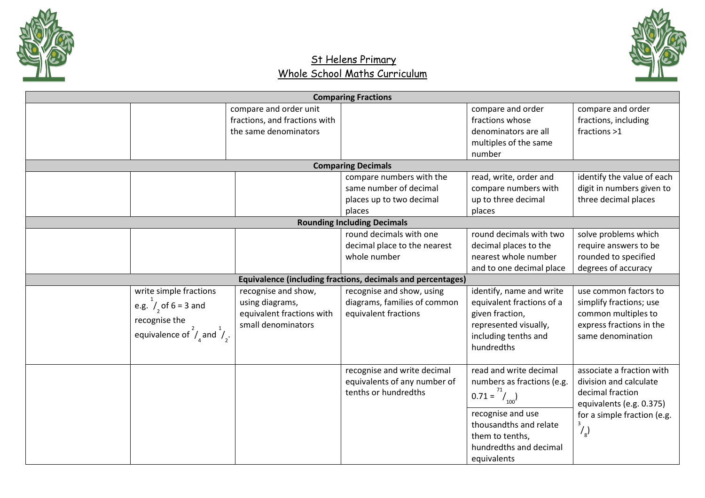



| <b>Comparing Fractions</b>                         |                               |                                                             |                            |                             |  |  |
|----------------------------------------------------|-------------------------------|-------------------------------------------------------------|----------------------------|-----------------------------|--|--|
|                                                    | compare and order unit        |                                                             | compare and order          | compare and order           |  |  |
|                                                    | fractions, and fractions with |                                                             | fractions whose            | fractions, including        |  |  |
|                                                    | the same denominators         |                                                             | denominators are all       | fractions >1                |  |  |
|                                                    |                               |                                                             | multiples of the same      |                             |  |  |
|                                                    |                               |                                                             | number                     |                             |  |  |
|                                                    |                               | <b>Comparing Decimals</b>                                   |                            |                             |  |  |
|                                                    |                               | compare numbers with the                                    | read, write, order and     | identify the value of each  |  |  |
|                                                    |                               | same number of decimal                                      | compare numbers with       | digit in numbers given to   |  |  |
|                                                    |                               | places up to two decimal                                    | up to three decimal        | three decimal places        |  |  |
|                                                    |                               | places                                                      | places                     |                             |  |  |
|                                                    |                               | <b>Rounding Including Decimals</b>                          |                            |                             |  |  |
|                                                    |                               | round decimals with one                                     | round decimals with two    | solve problems which        |  |  |
|                                                    |                               | decimal place to the nearest                                | decimal places to the      | require answers to be       |  |  |
|                                                    |                               | whole number                                                | nearest whole number       | rounded to specified        |  |  |
|                                                    |                               |                                                             | and to one decimal place   | degrees of accuracy         |  |  |
|                                                    |                               | Equivalence (including fractions, decimals and percentages) |                            |                             |  |  |
| write simple fractions                             | recognise and show,           | recognise and show, using                                   | identify, name and write   | use common factors to       |  |  |
| e.g. $1/2$ of 6 = 3 and                            | using diagrams,               | diagrams, families of common                                | equivalent fractions of a  | simplify fractions; use     |  |  |
|                                                    | equivalent fractions with     | equivalent fractions                                        | given fraction,            | common multiples to         |  |  |
| recognise the                                      | small denominators            |                                                             | represented visually,      | express fractions in the    |  |  |
| equivalence of $\int_{4}^{2}$ and $\int_{2}^{1}$ . |                               |                                                             | including tenths and       | same denomination           |  |  |
|                                                    |                               |                                                             | hundredths                 |                             |  |  |
|                                                    |                               |                                                             |                            |                             |  |  |
|                                                    |                               | recognise and write decimal                                 | read and write decimal     | associate a fraction with   |  |  |
|                                                    |                               | equivalents of any number of                                | numbers as fractions (e.g. | division and calculate      |  |  |
|                                                    |                               | tenths or hundredths                                        | $0.71 = \frac{71}{100}$    | decimal fraction            |  |  |
|                                                    |                               |                                                             |                            | equivalents (e.g. 0.375)    |  |  |
|                                                    |                               |                                                             | recognise and use          | for a simple fraction (e.g. |  |  |
|                                                    |                               |                                                             | thousandths and relate     | 3<br>$\frac{1}{8}$          |  |  |
|                                                    |                               |                                                             | them to tenths,            |                             |  |  |
|                                                    |                               |                                                             | hundredths and decimal     |                             |  |  |
|                                                    |                               |                                                             | equivalents                |                             |  |  |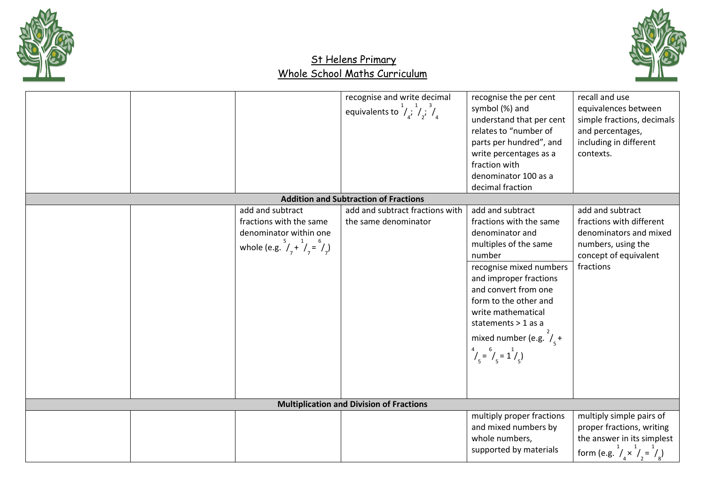



| add and subtract                                                                                       | recognise and write decimal<br>equivalents to $\frac{1}{4}$ , $\frac{1}{4}$ , $\frac{3}{4}$<br><b>Addition and Subtraction of Fractions</b><br>add and subtract fractions with | recognise the per cent<br>symbol (%) and<br>understand that per cent<br>relates to "number of<br>parts per hundred", and<br>write percentages as a<br>fraction with<br>denominator 100 as a<br>decimal fraction<br>add and subtract                                                                                     | recall and use<br>equivalences between<br>simple fractions, decimals<br>and percentages,<br>including in different<br>contexts.<br>add and subtract |
|--------------------------------------------------------------------------------------------------------|--------------------------------------------------------------------------------------------------------------------------------------------------------------------------------|-------------------------------------------------------------------------------------------------------------------------------------------------------------------------------------------------------------------------------------------------------------------------------------------------------------------------|-----------------------------------------------------------------------------------------------------------------------------------------------------|
| fractions with the same<br>denominator within one<br>whole (e.g. $^{5}/_{7} + ^{1}/_{7} = ^{6}/_{7}$ ) | the same denominator                                                                                                                                                           | fractions with the same<br>denominator and<br>multiples of the same<br>number<br>recognise mixed numbers<br>and improper fractions<br>and convert from one<br>form to the other and<br>write mathematical<br>statements > 1 as a<br>mixed number (e.g. $\frac{2}{x}$ +<br>$\frac{4}{1}$ = $\frac{6}{1}$ = $\frac{1}{1}$ | fractions with different<br>denominators and mixed<br>numbers, using the<br>concept of equivalent<br>fractions                                      |
|                                                                                                        | <b>Multiplication and Division of Fractions</b>                                                                                                                                |                                                                                                                                                                                                                                                                                                                         |                                                                                                                                                     |
|                                                                                                        |                                                                                                                                                                                | multiply proper fractions<br>and mixed numbers by<br>whole numbers,<br>supported by materials                                                                                                                                                                                                                           | multiply simple pairs of<br>proper fractions, writing<br>the answer in its simplest<br>form (e.g. $1/x^2 = 1/x^2$ )                                 |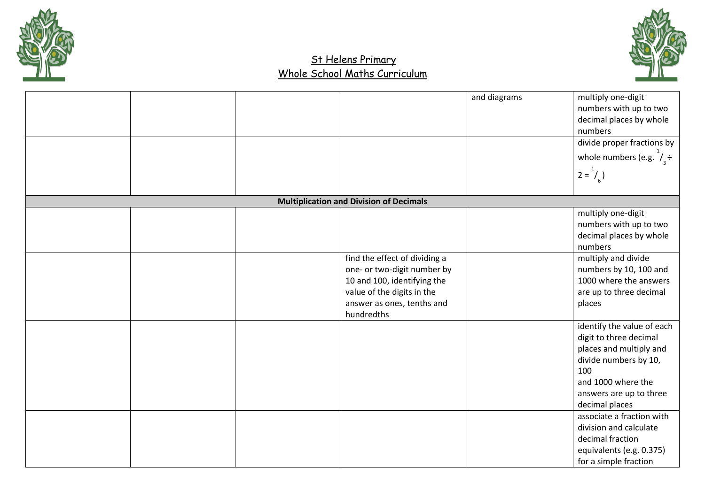



|  |                                                                                                                                                                       | and diagrams | multiply one-digit<br>numbers with up to two<br>decimal places by whole<br>numbers<br>divide proper fractions by<br>whole numbers (e.g. $\frac{1}{3}$ ÷<br>$2 = \frac{1}{6}$                                                                                                                                       |
|--|-----------------------------------------------------------------------------------------------------------------------------------------------------------------------|--------------|--------------------------------------------------------------------------------------------------------------------------------------------------------------------------------------------------------------------------------------------------------------------------------------------------------------------|
|  | <b>Multiplication and Division of Decimals</b>                                                                                                                        |              |                                                                                                                                                                                                                                                                                                                    |
|  | find the effect of dividing a<br>one- or two-digit number by<br>10 and 100, identifying the<br>value of the digits in the<br>answer as ones, tenths and<br>hundredths |              | multiply one-digit<br>numbers with up to two<br>decimal places by whole<br>numbers<br>multiply and divide<br>numbers by 10, 100 and<br>1000 where the answers<br>are up to three decimal<br>places                                                                                                                 |
|  |                                                                                                                                                                       |              | identify the value of each<br>digit to three decimal<br>places and multiply and<br>divide numbers by 10,<br>100<br>and 1000 where the<br>answers are up to three<br>decimal places<br>associate a fraction with<br>division and calculate<br>decimal fraction<br>equivalents (e.g. 0.375)<br>for a simple fraction |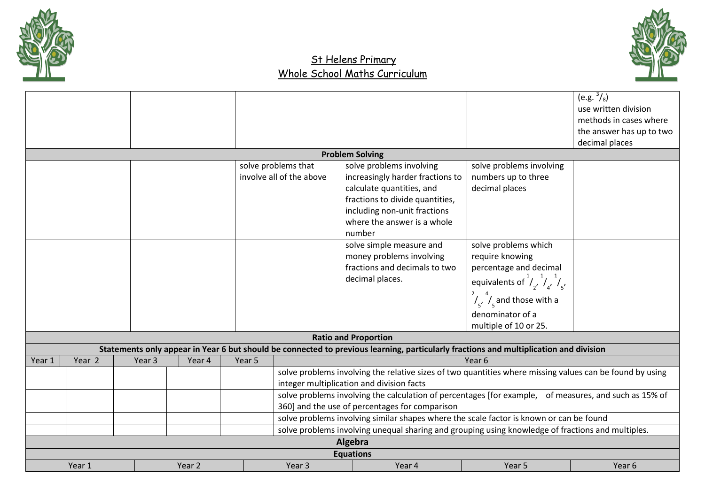



|        |        |        |        |        |                          |                                                                                                                                       |                                                                | $(e.g. \sqrt[3]{8})$     |
|--------|--------|--------|--------|--------|--------------------------|---------------------------------------------------------------------------------------------------------------------------------------|----------------------------------------------------------------|--------------------------|
|        |        |        |        |        |                          |                                                                                                                                       |                                                                | use written division     |
|        |        |        |        |        |                          |                                                                                                                                       |                                                                | methods in cases where   |
|        |        |        |        |        |                          |                                                                                                                                       |                                                                | the answer has up to two |
|        |        |        |        |        |                          |                                                                                                                                       |                                                                | decimal places           |
|        |        |        |        |        |                          | <b>Problem Solving</b>                                                                                                                |                                                                |                          |
|        |        |        |        |        | solve problems that      | solve problems involving                                                                                                              | solve problems involving                                       |                          |
|        |        |        |        |        | involve all of the above | increasingly harder fractions to                                                                                                      | numbers up to three                                            |                          |
|        |        |        |        |        |                          | calculate quantities, and                                                                                                             | decimal places                                                 |                          |
|        |        |        |        |        |                          | fractions to divide quantities,                                                                                                       |                                                                |                          |
|        |        |        |        |        |                          | including non-unit fractions                                                                                                          |                                                                |                          |
|        |        |        |        |        |                          | where the answer is a whole                                                                                                           |                                                                |                          |
|        |        |        |        |        |                          | number                                                                                                                                |                                                                |                          |
|        |        |        |        |        |                          | solve simple measure and                                                                                                              | solve problems which                                           |                          |
|        |        |        |        |        |                          | money problems involving                                                                                                              | require knowing                                                |                          |
|        |        |        |        |        |                          | fractions and decimals to two                                                                                                         | percentage and decimal                                         |                          |
|        |        |        |        |        |                          | decimal places.                                                                                                                       | equivalents of $\frac{1}{2}$ , $\frac{1}{4}$ , $\frac{1}{5}$ , |                          |
|        |        |        |        |        |                          |                                                                                                                                       | $\int_{5'}^{2}$ , $\int_{5}^{4}$ and those with a              |                          |
|        |        |        |        |        |                          |                                                                                                                                       | denominator of a                                               |                          |
|        |        |        |        |        |                          |                                                                                                                                       | multiple of 10 or 25.                                          |                          |
|        |        |        |        |        |                          | <b>Ratio and Proportion</b>                                                                                                           |                                                                |                          |
|        |        |        |        |        |                          | Statements only appear in Year 6 but should be connected to previous learning, particularly fractions and multiplication and division |                                                                |                          |
| Year 1 | Year 2 | Year 3 | Year 4 | Year 5 |                          |                                                                                                                                       | Year 6                                                         |                          |
|        |        |        |        |        |                          | solve problems involving the relative sizes of two quantities where missing values can be found by using                              |                                                                |                          |
|        |        |        |        |        |                          | integer multiplication and division facts                                                                                             |                                                                |                          |
|        |        |        |        |        |                          | solve problems involving the calculation of percentages [for example, of measures, and such as 15% of                                 |                                                                |                          |
|        |        |        |        |        |                          | 360] and the use of percentages for comparison                                                                                        |                                                                |                          |
|        |        |        |        |        |                          | solve problems involving similar shapes where the scale factor is known or can be found                                               |                                                                |                          |
|        |        |        |        |        |                          | solve problems involving unequal sharing and grouping using knowledge of fractions and multiples.                                     |                                                                |                          |
|        |        |        |        |        |                          | Algebra                                                                                                                               |                                                                |                          |
|        |        |        |        |        |                          | <b>Equations</b>                                                                                                                      |                                                                |                          |
|        | Year 1 |        | Year 2 |        | Year 3                   | Year 4                                                                                                                                | Year 5                                                         | Year 6                   |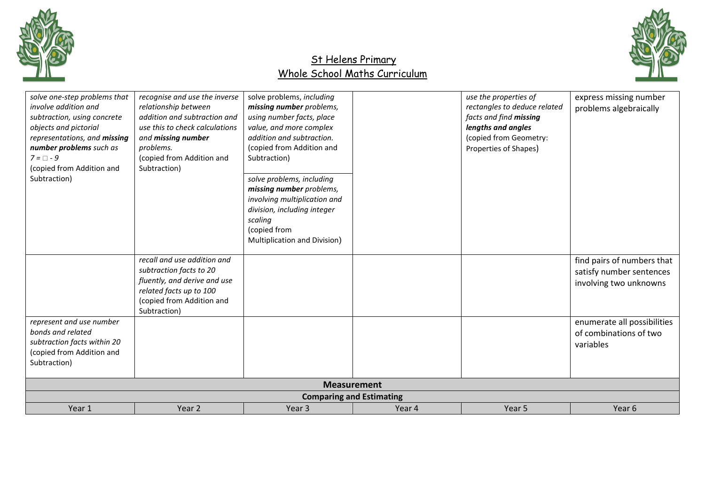



| solve one-step problems that<br>involve addition and<br>subtraction, using concrete<br>objects and pictorial<br>representations, and missing<br>number problems such as<br>$7 = \Box - 9$<br>(copied from Addition and<br>Subtraction) | recognise and use the inverse<br>relationship between<br>addition and subtraction and<br>use this to check calculations<br>and missing number<br>problems.<br>(copied from Addition and<br>Subtraction) | solve problems, including<br>missing number problems,<br>using number facts, place<br>value, and more complex<br>addition and subtraction.<br>(copied from Addition and<br>Subtraction)<br>solve problems, including<br>missing number problems,<br>involving multiplication and<br>division, including integer<br>scaling<br>(copied from<br>Multiplication and Division) |        | use the properties of<br>rectangles to deduce related<br>facts and find missing<br>lengths and angles<br>(copied from Geometry:<br>Properties of Shapes) | express missing number<br>problems algebraically                                                                                                       |
|----------------------------------------------------------------------------------------------------------------------------------------------------------------------------------------------------------------------------------------|---------------------------------------------------------------------------------------------------------------------------------------------------------------------------------------------------------|----------------------------------------------------------------------------------------------------------------------------------------------------------------------------------------------------------------------------------------------------------------------------------------------------------------------------------------------------------------------------|--------|----------------------------------------------------------------------------------------------------------------------------------------------------------|--------------------------------------------------------------------------------------------------------------------------------------------------------|
| represent and use number<br>bonds and related<br>subtraction facts within 20<br>(copied from Addition and<br>Subtraction)                                                                                                              | recall and use addition and<br>subtraction facts to 20<br>fluently, and derive and use<br>related facts up to 100<br>(copied from Addition and<br>Subtraction)                                          |                                                                                                                                                                                                                                                                                                                                                                            |        |                                                                                                                                                          | find pairs of numbers that<br>satisfy number sentences<br>involving two unknowns<br>enumerate all possibilities<br>of combinations of two<br>variables |
|                                                                                                                                                                                                                                        |                                                                                                                                                                                                         | <b>Measurement</b><br><b>Comparing and Estimating</b>                                                                                                                                                                                                                                                                                                                      |        |                                                                                                                                                          |                                                                                                                                                        |
| Year 1                                                                                                                                                                                                                                 | Year 2                                                                                                                                                                                                  | Year <sub>3</sub>                                                                                                                                                                                                                                                                                                                                                          | Year 4 | Year 5                                                                                                                                                   | Year 6                                                                                                                                                 |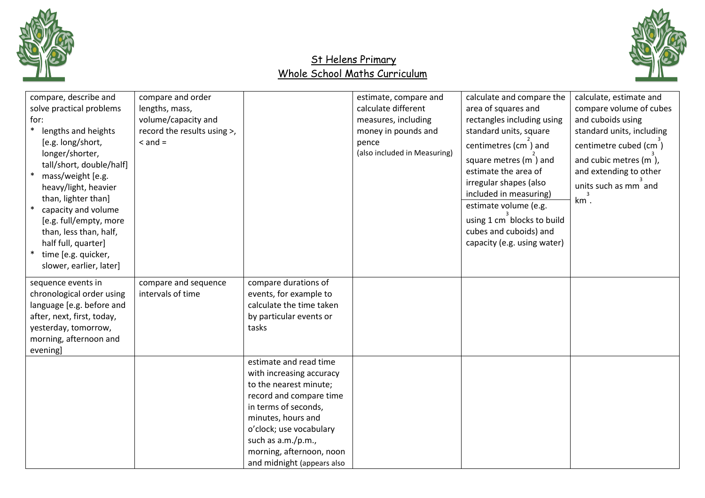



| compare, describe and<br>solve practical problems<br>for:<br>lengths and heights<br>[e.g. long/short,<br>longer/shorter,<br>tall/short, double/half]<br>mass/weight [e.g.<br>heavy/light, heavier<br>than, lighter than]<br>capacity and volume<br>[e.g. full/empty, more<br>than, less than, half,<br>half full, quarter]<br>time [e.g. quicker,<br>slower, earlier, later] | compare and order<br>lengths, mass,<br>volume/capacity and<br>record the results using >,<br>$\leq$ and $=$ |                                                                                                                                                                                                                                                                  | estimate, compare and<br>calculate different<br>measures, including<br>money in pounds and<br>pence<br>(also included in Measuring) | calculate and compare the<br>area of squares and<br>rectangles including using<br>standard units, square<br>centimetres (cm) and<br>square metres (m) and<br>estimate the area of<br>irregular shapes (also<br>included in measuring)<br>estimate volume (e.g.<br>using 1 cm blocks to build<br>cubes and cuboids) and<br>capacity (e.g. using water) | calculate, estimate and<br>compare volume of cubes<br>and cuboids using<br>standard units, including<br>centimetre cubed (cm)<br>and cubic metres (m),<br>and extending to other<br>units such as mm and<br>km. |
|------------------------------------------------------------------------------------------------------------------------------------------------------------------------------------------------------------------------------------------------------------------------------------------------------------------------------------------------------------------------------|-------------------------------------------------------------------------------------------------------------|------------------------------------------------------------------------------------------------------------------------------------------------------------------------------------------------------------------------------------------------------------------|-------------------------------------------------------------------------------------------------------------------------------------|-------------------------------------------------------------------------------------------------------------------------------------------------------------------------------------------------------------------------------------------------------------------------------------------------------------------------------------------------------|-----------------------------------------------------------------------------------------------------------------------------------------------------------------------------------------------------------------|
| sequence events in<br>chronological order using<br>language [e.g. before and<br>after, next, first, today,<br>yesterday, tomorrow,<br>morning, afternoon and<br>evening]                                                                                                                                                                                                     | compare and sequence<br>intervals of time                                                                   | compare durations of<br>events, for example to<br>calculate the time taken<br>by particular events or<br>tasks                                                                                                                                                   |                                                                                                                                     |                                                                                                                                                                                                                                                                                                                                                       |                                                                                                                                                                                                                 |
|                                                                                                                                                                                                                                                                                                                                                                              |                                                                                                             | estimate and read time<br>with increasing accuracy<br>to the nearest minute;<br>record and compare time<br>in terms of seconds,<br>minutes, hours and<br>o'clock; use vocabulary<br>such as a.m./p.m.,<br>morning, afternoon, noon<br>and midnight (appears also |                                                                                                                                     |                                                                                                                                                                                                                                                                                                                                                       |                                                                                                                                                                                                                 |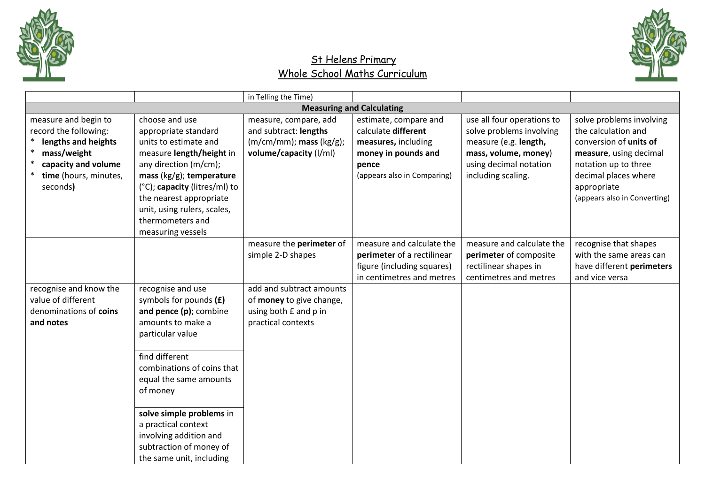



|                                                                                                                                                 |                                                                                                                                                                                                                                                                                         | in Telling the Time)                                                                                      |                                                                                                                                    |                                                                                                                                                         |                                                                                                                                                                                                    |
|-------------------------------------------------------------------------------------------------------------------------------------------------|-----------------------------------------------------------------------------------------------------------------------------------------------------------------------------------------------------------------------------------------------------------------------------------------|-----------------------------------------------------------------------------------------------------------|------------------------------------------------------------------------------------------------------------------------------------|---------------------------------------------------------------------------------------------------------------------------------------------------------|----------------------------------------------------------------------------------------------------------------------------------------------------------------------------------------------------|
|                                                                                                                                                 |                                                                                                                                                                                                                                                                                         |                                                                                                           | <b>Measuring and Calculating</b>                                                                                                   |                                                                                                                                                         |                                                                                                                                                                                                    |
| measure and begin to<br>record the following:<br>lengths and heights<br>mass/weight<br>capacity and volume<br>time (hours, minutes,<br>seconds) | choose and use<br>appropriate standard<br>units to estimate and<br>measure length/height in<br>any direction (m/cm);<br>mass $(kg/g)$ ; temperature<br>(°C); capacity (litres/ml) to<br>the nearest appropriate<br>unit, using rulers, scales,<br>thermometers and<br>measuring vessels | measure, compare, add<br>and subtract: lengths<br>$(m/cm/mm)$ ; mass $(kg/g)$ ;<br>volume/capacity (I/ml) | estimate, compare and<br>calculate different<br>measures, including<br>money in pounds and<br>pence<br>(appears also in Comparing) | use all four operations to<br>solve problems involving<br>measure (e.g. length,<br>mass, volume, money)<br>using decimal notation<br>including scaling. | solve problems involving<br>the calculation and<br>conversion of units of<br>measure, using decimal<br>notation up to three<br>decimal places where<br>appropriate<br>(appears also in Converting) |
|                                                                                                                                                 |                                                                                                                                                                                                                                                                                         | measure the perimeter of<br>simple 2-D shapes                                                             | measure and calculate the<br>perimeter of a rectilinear<br>figure (including squares)<br>in centimetres and metres                 | measure and calculate the<br>perimeter of composite<br>rectilinear shapes in<br>centimetres and metres                                                  | recognise that shapes<br>with the same areas can<br>have different perimeters<br>and vice versa                                                                                                    |
| recognise and know the<br>value of different<br>denominations of coins<br>and notes                                                             | recognise and use<br>symbols for pounds $(E)$<br>and pence (p); combine<br>amounts to make a<br>particular value<br>find different<br>combinations of coins that<br>equal the same amounts<br>of money                                                                                  | add and subtract amounts<br>of money to give change,<br>using both £ and p in<br>practical contexts       |                                                                                                                                    |                                                                                                                                                         |                                                                                                                                                                                                    |
|                                                                                                                                                 | solve simple problems in<br>a practical context<br>involving addition and<br>subtraction of money of<br>the same unit, including                                                                                                                                                        |                                                                                                           |                                                                                                                                    |                                                                                                                                                         |                                                                                                                                                                                                    |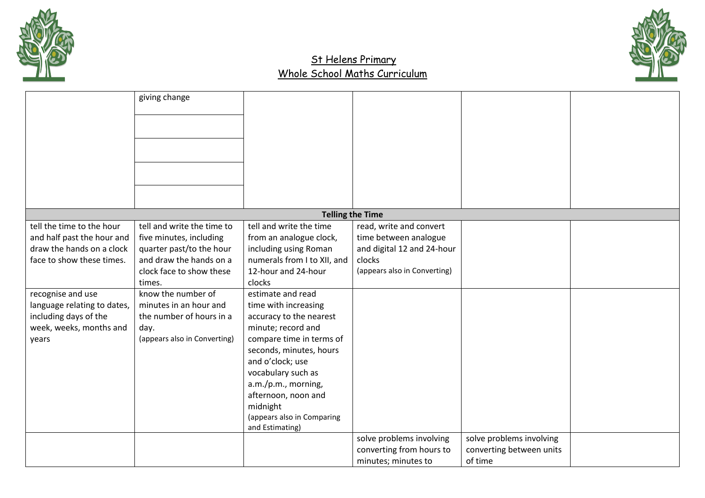



|                             | giving change                |                             |                              |                          |  |
|-----------------------------|------------------------------|-----------------------------|------------------------------|--------------------------|--|
|                             |                              |                             |                              |                          |  |
|                             |                              |                             |                              |                          |  |
|                             |                              |                             |                              |                          |  |
|                             |                              |                             |                              |                          |  |
|                             |                              |                             |                              |                          |  |
|                             |                              |                             |                              |                          |  |
|                             |                              |                             |                              |                          |  |
|                             |                              |                             | <b>Telling the Time</b>      |                          |  |
| tell the time to the hour   | tell and write the time to   | tell and write the time     | read, write and convert      |                          |  |
| and half past the hour and  | five minutes, including      | from an analogue clock,     | time between analogue        |                          |  |
| draw the hands on a clock   | quarter past/to the hour     | including using Roman       | and digital 12 and 24-hour   |                          |  |
| face to show these times.   | and draw the hands on a      | numerals from I to XII, and | clocks                       |                          |  |
|                             | clock face to show these     | 12-hour and 24-hour         | (appears also in Converting) |                          |  |
|                             | times.                       | clocks                      |                              |                          |  |
| recognise and use           | know the number of           | estimate and read           |                              |                          |  |
| language relating to dates, | minutes in an hour and       | time with increasing        |                              |                          |  |
| including days of the       | the number of hours in a     | accuracy to the nearest     |                              |                          |  |
| week, weeks, months and     | day.                         | minute; record and          |                              |                          |  |
| years                       | (appears also in Converting) | compare time in terms of    |                              |                          |  |
|                             |                              | seconds, minutes, hours     |                              |                          |  |
|                             |                              | and o'clock; use            |                              |                          |  |
|                             |                              | vocabulary such as          |                              |                          |  |
|                             |                              | a.m./p.m., morning,         |                              |                          |  |
|                             |                              | afternoon, noon and         |                              |                          |  |
|                             |                              | midnight                    |                              |                          |  |
|                             |                              | (appears also in Comparing  |                              |                          |  |
|                             |                              | and Estimating)             |                              |                          |  |
|                             |                              |                             | solve problems involving     | solve problems involving |  |
|                             |                              |                             | converting from hours to     | converting between units |  |
|                             |                              |                             | minutes; minutes to          | of time                  |  |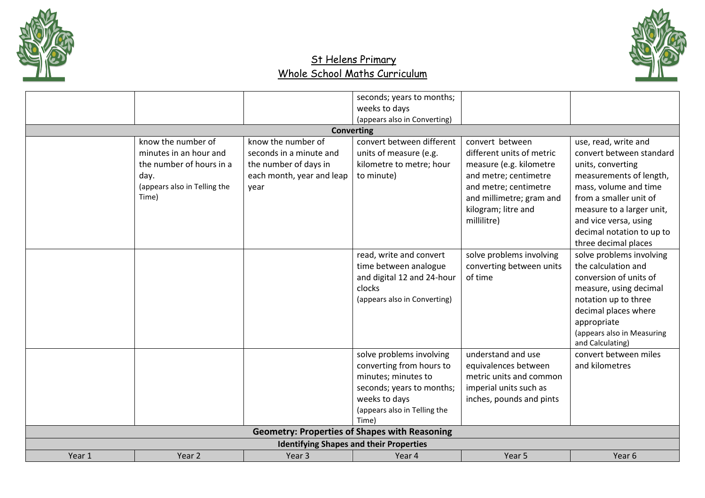



|       |                              |                           | seconds; years to months;                            |                           |                            |
|-------|------------------------------|---------------------------|------------------------------------------------------|---------------------------|----------------------------|
|       |                              |                           | weeks to days                                        |                           |                            |
|       |                              |                           | (appears also in Converting)                         |                           |                            |
|       |                              | <b>Converting</b>         |                                                      |                           |                            |
|       | know the number of           | know the number of        | convert between different                            | convert between           | use, read, write and       |
|       | minutes in an hour and       | seconds in a minute and   | units of measure (e.g.                               | different units of metric | convert between standard   |
|       | the number of hours in a     | the number of days in     | kilometre to metre; hour                             | measure (e.g. kilometre   | units, converting          |
| day.  |                              | each month, year and leap | to minute)                                           | and metre; centimetre     | measurements of length,    |
|       | (appears also in Telling the | year                      |                                                      | and metre; centimetre     | mass, volume and time      |
| Time) |                              |                           |                                                      | and millimetre; gram and  | from a smaller unit of     |
|       |                              |                           |                                                      | kilogram; litre and       | measure to a larger unit,  |
|       |                              |                           |                                                      | millilitre)               | and vice versa, using      |
|       |                              |                           |                                                      |                           | decimal notation to up to  |
|       |                              |                           |                                                      |                           | three decimal places       |
|       |                              |                           | read, write and convert                              | solve problems involving  | solve problems involving   |
|       |                              |                           | time between analogue                                | converting between units  | the calculation and        |
|       |                              |                           | and digital 12 and 24-hour                           | of time                   | conversion of units of     |
|       |                              |                           | clocks                                               |                           | measure, using decimal     |
|       |                              |                           | (appears also in Converting)                         |                           | notation up to three       |
|       |                              |                           |                                                      |                           | decimal places where       |
|       |                              |                           |                                                      |                           | appropriate                |
|       |                              |                           |                                                      |                           | (appears also in Measuring |
|       |                              |                           |                                                      |                           | and Calculating)           |
|       |                              |                           | solve problems involving                             | understand and use        | convert between miles      |
|       |                              |                           | converting from hours to                             | equivalences between      | and kilometres             |
|       |                              |                           | minutes; minutes to                                  | metric units and common   |                            |
|       |                              |                           | seconds; years to months;                            | imperial units such as    |                            |
|       |                              |                           | weeks to days                                        | inches, pounds and pints  |                            |
|       |                              |                           | (appears also in Telling the                         |                           |                            |
|       |                              |                           | Time)                                                |                           |                            |
|       |                              |                           | <b>Geometry: Properties of Shapes with Reasoning</b> |                           |                            |
|       |                              |                           |                                                      |                           |                            |
|       |                              |                           | <b>Identifying Shapes and their Properties</b>       |                           |                            |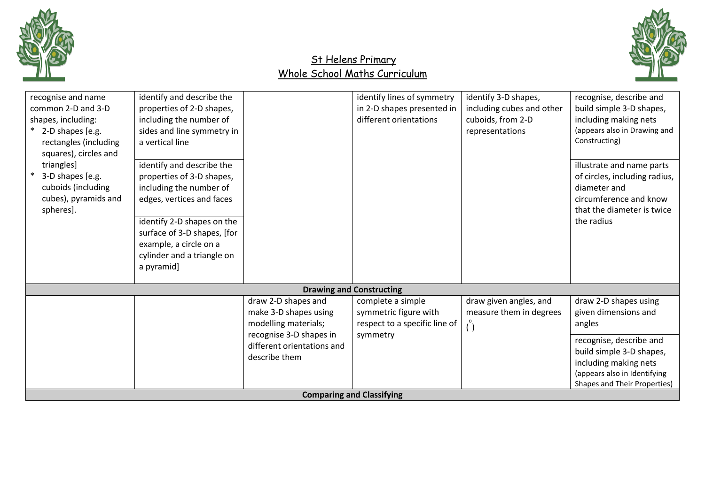



| recognise and name<br>common 2-D and 3-D<br>shapes, including:<br>* 2-D shapes [e.g.<br>rectangles (including<br>squares), circles and<br>triangles]<br>3-D shapes [e.g.<br>cuboids (including | identify and describe the<br>properties of 2-D shapes,<br>including the number of<br>sides and line symmetry in<br>a vertical line<br>identify and describe the<br>properties of 3-D shapes,<br>including the number of |                                                                        | identify lines of symmetry<br>in 2-D shapes presented in<br>different orientations | identify 3-D shapes,<br>including cubes and other<br>cuboids, from 2-D<br>representations | recognise, describe and<br>build simple 3-D shapes,<br>including making nets<br>(appears also in Drawing and<br>Constructing)<br>illustrate and name parts<br>of circles, including radius,<br>diameter and |
|------------------------------------------------------------------------------------------------------------------------------------------------------------------------------------------------|-------------------------------------------------------------------------------------------------------------------------------------------------------------------------------------------------------------------------|------------------------------------------------------------------------|------------------------------------------------------------------------------------|-------------------------------------------------------------------------------------------|-------------------------------------------------------------------------------------------------------------------------------------------------------------------------------------------------------------|
| cubes), pyramids and<br>spheres].                                                                                                                                                              | edges, vertices and faces<br>identify 2-D shapes on the<br>surface of 3-D shapes, [for<br>example, a circle on a<br>cylinder and a triangle on<br>a pyramid]                                                            |                                                                        | <b>Drawing and Constructing</b>                                                    |                                                                                           | circumference and know<br>that the diameter is twice<br>the radius                                                                                                                                          |
|                                                                                                                                                                                                |                                                                                                                                                                                                                         |                                                                        |                                                                                    |                                                                                           |                                                                                                                                                                                                             |
|                                                                                                                                                                                                |                                                                                                                                                                                                                         | draw 2-D shapes and<br>make 3-D shapes using<br>modelling materials;   | complete a simple<br>symmetric figure with<br>respect to a specific line of        | draw given angles, and<br>measure them in degrees                                         | draw 2-D shapes using<br>given dimensions and<br>angles                                                                                                                                                     |
|                                                                                                                                                                                                |                                                                                                                                                                                                                         | recognise 3-D shapes in<br>different orientations and<br>describe them | symmetry                                                                           |                                                                                           | recognise, describe and<br>build simple 3-D shapes,<br>including making nets<br>(appears also in Identifying<br>Shapes and Their Properties)                                                                |
|                                                                                                                                                                                                |                                                                                                                                                                                                                         |                                                                        | <b>Comparing and Classifying</b>                                                   |                                                                                           |                                                                                                                                                                                                             |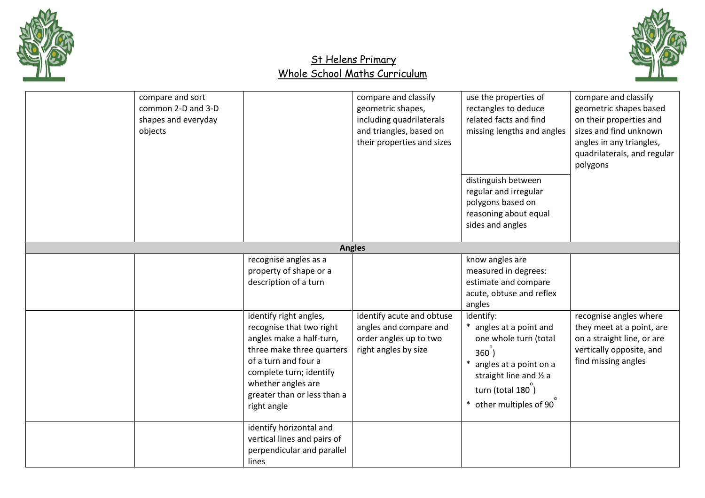



| compare and sort<br>common 2-D and 3-D<br>shapes and everyday<br>objects |                                                                                                                                                                                                                                    | compare and classify<br>geometric shapes,<br>including quadrilaterals<br>and triangles, based on<br>their properties and sizes | use the properties of<br>rectangles to deduce<br>related facts and find<br>missing lengths and angles<br>distinguish between<br>regular and irregular<br>polygons based on<br>reasoning about equal<br>sides and angles | compare and classify<br>geometric shapes based<br>on their properties and<br>sizes and find unknown<br>angles in any triangles,<br>quadrilaterals, and regular<br>polygons |
|--------------------------------------------------------------------------|------------------------------------------------------------------------------------------------------------------------------------------------------------------------------------------------------------------------------------|--------------------------------------------------------------------------------------------------------------------------------|-------------------------------------------------------------------------------------------------------------------------------------------------------------------------------------------------------------------------|----------------------------------------------------------------------------------------------------------------------------------------------------------------------------|
|                                                                          |                                                                                                                                                                                                                                    | <b>Angles</b>                                                                                                                  |                                                                                                                                                                                                                         |                                                                                                                                                                            |
|                                                                          | recognise angles as a<br>property of shape or a<br>description of a turn                                                                                                                                                           |                                                                                                                                | know angles are<br>measured in degrees:<br>estimate and compare<br>acute, obtuse and reflex<br>angles                                                                                                                   |                                                                                                                                                                            |
|                                                                          | identify right angles,<br>recognise that two right<br>angles make a half-turn,<br>three make three quarters<br>of a turn and four a<br>complete turn; identify<br>whether angles are<br>greater than or less than a<br>right angle | identify acute and obtuse<br>angles and compare and<br>order angles up to two<br>right angles by size                          | identify:<br>* angles at a point and<br>one whole turn (total<br>360)<br>angles at a point on a<br>straight line and 1/2 a<br>turn (total 180)<br>other multiples of 90                                                 | recognise angles where<br>they meet at a point, are<br>on a straight line, or are<br>vertically opposite, and<br>find missing angles                                       |
|                                                                          | identify horizontal and<br>vertical lines and pairs of<br>perpendicular and parallel<br>lines                                                                                                                                      |                                                                                                                                |                                                                                                                                                                                                                         |                                                                                                                                                                            |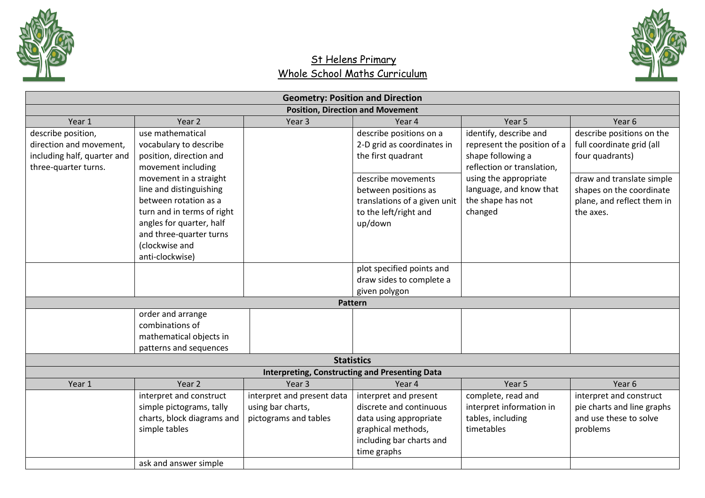



|                             |                            |                            | <b>Geometry: Position and Direction</b>               |                             |                            |
|-----------------------------|----------------------------|----------------------------|-------------------------------------------------------|-----------------------------|----------------------------|
|                             |                            |                            | <b>Position, Direction and Movement</b>               |                             |                            |
| Year 1                      | Year 2                     | Year <sub>3</sub>          | Year 4                                                | Year 5                      | Year 6                     |
| describe position,          | use mathematical           |                            | describe positions on a                               | identify, describe and      | describe positions on the  |
| direction and movement,     | vocabulary to describe     |                            | 2-D grid as coordinates in                            | represent the position of a | full coordinate grid (all  |
| including half, quarter and | position, direction and    |                            | the first quadrant                                    | shape following a           | four quadrants)            |
| three-quarter turns.        | movement including         |                            |                                                       | reflection or translation,  |                            |
|                             | movement in a straight     |                            | describe movements                                    | using the appropriate       | draw and translate simple  |
|                             | line and distinguishing    |                            | between positions as                                  | language, and know that     | shapes on the coordinate   |
|                             | between rotation as a      |                            | translations of a given unit                          | the shape has not           | plane, and reflect them in |
|                             | turn and in terms of right |                            | to the left/right and                                 | changed                     | the axes.                  |
|                             | angles for quarter, half   |                            | up/down                                               |                             |                            |
|                             | and three-quarter turns    |                            |                                                       |                             |                            |
|                             | (clockwise and             |                            |                                                       |                             |                            |
|                             | anti-clockwise)            |                            |                                                       |                             |                            |
|                             |                            |                            | plot specified points and                             |                             |                            |
|                             |                            |                            | draw sides to complete a                              |                             |                            |
|                             |                            |                            | given polygon                                         |                             |                            |
|                             |                            |                            | Pattern                                               |                             |                            |
|                             | order and arrange          |                            |                                                       |                             |                            |
|                             | combinations of            |                            |                                                       |                             |                            |
|                             | mathematical objects in    |                            |                                                       |                             |                            |
|                             | patterns and sequences     |                            |                                                       |                             |                            |
|                             |                            |                            | <b>Statistics</b>                                     |                             |                            |
|                             |                            |                            | <b>Interpreting, Constructing and Presenting Data</b> |                             |                            |
| Year 1                      | Year <sub>2</sub>          | Year <sub>3</sub>          | Year 4                                                | Year 5                      | Year 6                     |
|                             | interpret and construct    | interpret and present data | interpret and present                                 | complete, read and          | interpret and construct    |
|                             | simple pictograms, tally   | using bar charts,          | discrete and continuous                               | interpret information in    | pie charts and line graphs |
|                             | charts, block diagrams and | pictograms and tables      | data using appropriate                                | tables, including           | and use these to solve     |
|                             | simple tables              |                            | graphical methods,                                    | timetables                  | problems                   |
|                             |                            |                            | including bar charts and                              |                             |                            |
|                             |                            |                            | time graphs                                           |                             |                            |
|                             | ask and answer simple      |                            |                                                       |                             |                            |